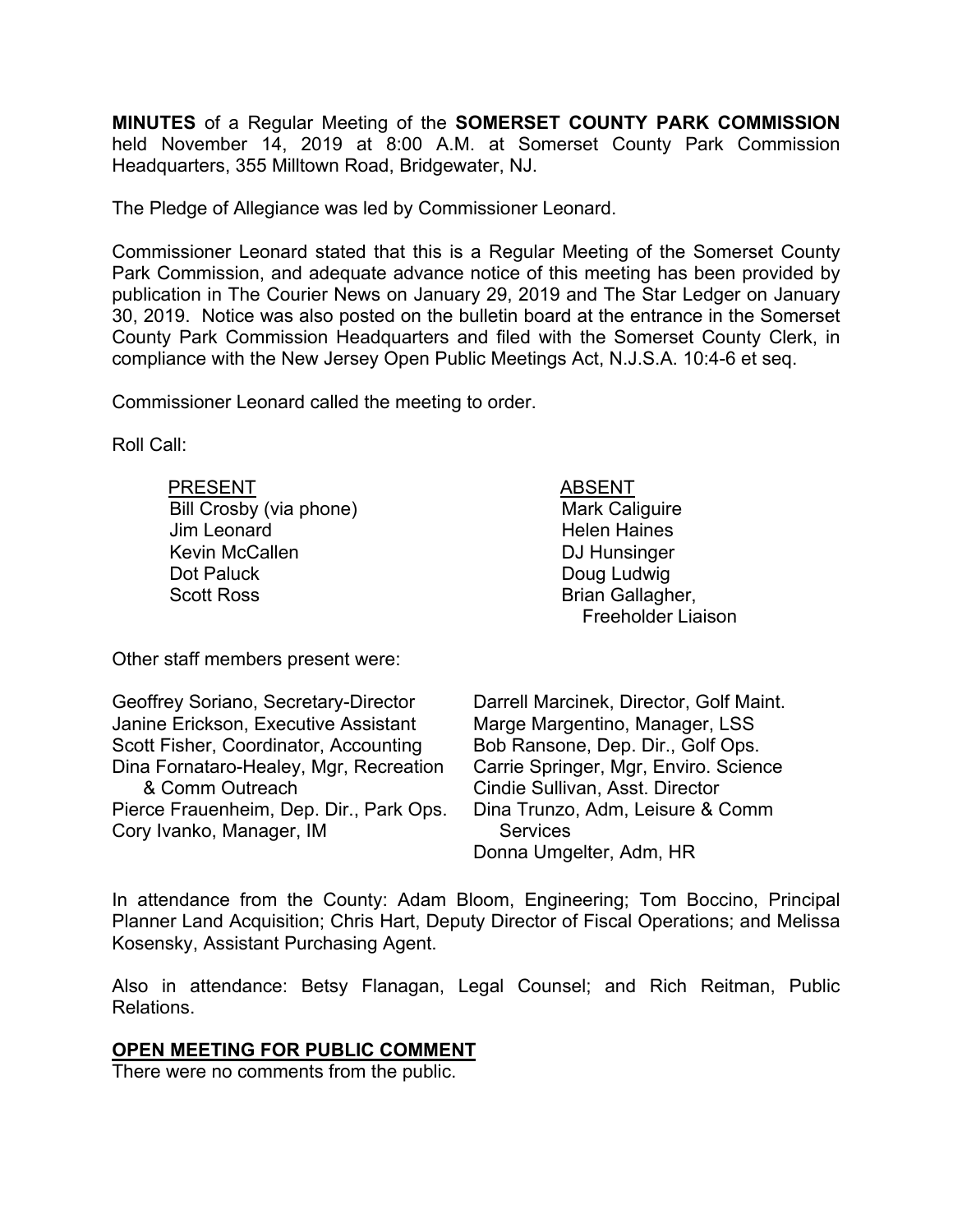**MINUTES** of a Regular Meeting of the **SOMERSET COUNTY PARK COMMISSION** held November 14, 2019 at 8:00 A.M. at Somerset County Park Commission Headquarters, 355 Milltown Road, Bridgewater, NJ.

The Pledge of Allegiance was led by Commissioner Leonard.

Commissioner Leonard stated that this is a Regular Meeting of the Somerset County Park Commission, and adequate advance notice of this meeting has been provided by publication in The Courier News on January 29, 2019 and The Star Ledger on January 30, 2019. Notice was also posted on the bulletin board at the entrance in the Somerset County Park Commission Headquarters and filed with the Somerset County Clerk, in compliance with the New Jersey Open Public Meetings Act, N.J.S.A. 10:4-6 et seq.

Commissioner Leonard called the meeting to order.

Roll Call:

| <b>PRESENT</b>          | <b>ABSENT</b>             |
|-------------------------|---------------------------|
| Bill Crosby (via phone) | <b>Mark Caliguire</b>     |
| Jim Leonard             | <b>Helen Haines</b>       |
| <b>Kevin McCallen</b>   | DJ Hunsinger              |
| Dot Paluck              | Doug Ludwig               |
| <b>Scott Ross</b>       | Brian Gallagher,          |
|                         | <b>Freeholder Liaison</b> |

Other staff members present were:

| Geoffrey Soriano, Secretary-Director    | Darrell Marcinek, Director, Golf Maint. |
|-----------------------------------------|-----------------------------------------|
| Janine Erickson, Executive Assistant    | Marge Margentino, Manager, LSS          |
| Scott Fisher, Coordinator, Accounting   | Bob Ransone, Dep. Dir., Golf Ops.       |
| Dina Fornataro-Healey, Mgr, Recreation  | Carrie Springer, Mgr, Enviro. Science   |
| & Comm Outreach                         | Cindie Sullivan, Asst. Director         |
| Pierce Frauenheim, Dep. Dir., Park Ops. | Dina Trunzo, Adm, Leisure & Comm        |
| Cory Ivanko, Manager, IM                | <b>Services</b>                         |
|                                         | Donna Umgelter, Adm, HR                 |

In attendance from the County: Adam Bloom, Engineering; Tom Boccino, Principal Planner Land Acquisition; Chris Hart, Deputy Director of Fiscal Operations; and Melissa Kosensky, Assistant Purchasing Agent.

Also in attendance: Betsy Flanagan, Legal Counsel; and Rich Reitman, Public Relations.

## **OPEN MEETING FOR PUBLIC COMMENT**

There were no comments from the public.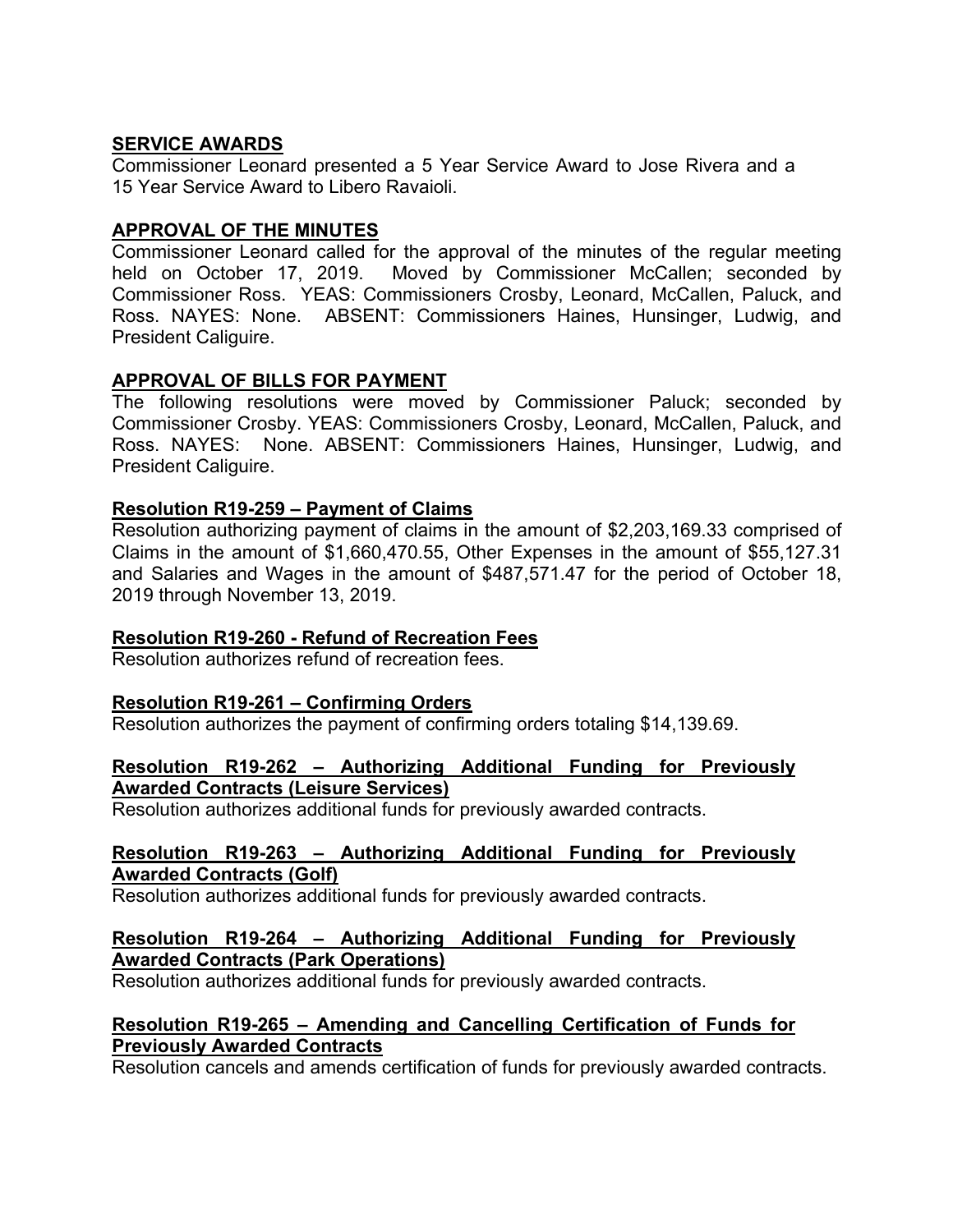# **SERVICE AWARDS**

Commissioner Leonard presented a 5 Year Service Award to Jose Rivera and a 15 Year Service Award to Libero Ravaioli.

# **APPROVAL OF THE MINUTES**

Commissioner Leonard called for the approval of the minutes of the regular meeting held on October 17, 2019. Moved by Commissioner McCallen; seconded by Commissioner Ross. YEAS: Commissioners Crosby, Leonard, McCallen, Paluck, and Ross. NAYES: None. ABSENT: Commissioners Haines, Hunsinger, Ludwig, and President Caliguire.

# **APPROVAL OF BILLS FOR PAYMENT**

The following resolutions were moved by Commissioner Paluck; seconded by Commissioner Crosby. YEAS: Commissioners Crosby, Leonard, McCallen, Paluck, and Ross. NAYES: None. ABSENT: Commissioners Haines, Hunsinger, Ludwig, and President Caliguire.

## **Resolution R19-259 – Payment of Claims**

Resolution authorizing payment of claims in the amount of \$2,203,169.33 comprised of Claims in the amount of \$1,660,470.55, Other Expenses in the amount of \$55,127.31 and Salaries and Wages in the amount of \$487,571.47 for the period of October 18, 2019 through November 13, 2019.

## **Resolution R19-260 - Refund of Recreation Fees**

Resolution authorizes refund of recreation fees.

## **Resolution R19-261 – Confirming Orders**

Resolution authorizes the payment of confirming orders totaling \$14,139.69.

## **Resolution R19-262 – Authorizing Additional Funding for Previously Awarded Contracts (Leisure Services)**

Resolution authorizes additional funds for previously awarded contracts.

## **Resolution R19-263 – Authorizing Additional Funding for Previously Awarded Contracts (Golf)**

Resolution authorizes additional funds for previously awarded contracts.

# **Resolution R19-264 – Authorizing Additional Funding for Previously Awarded Contracts (Park Operations)**

Resolution authorizes additional funds for previously awarded contracts.

# **Resolution R19-265 – Amending and Cancelling Certification of Funds for Previously Awarded Contracts**

Resolution cancels and amends certification of funds for previously awarded contracts.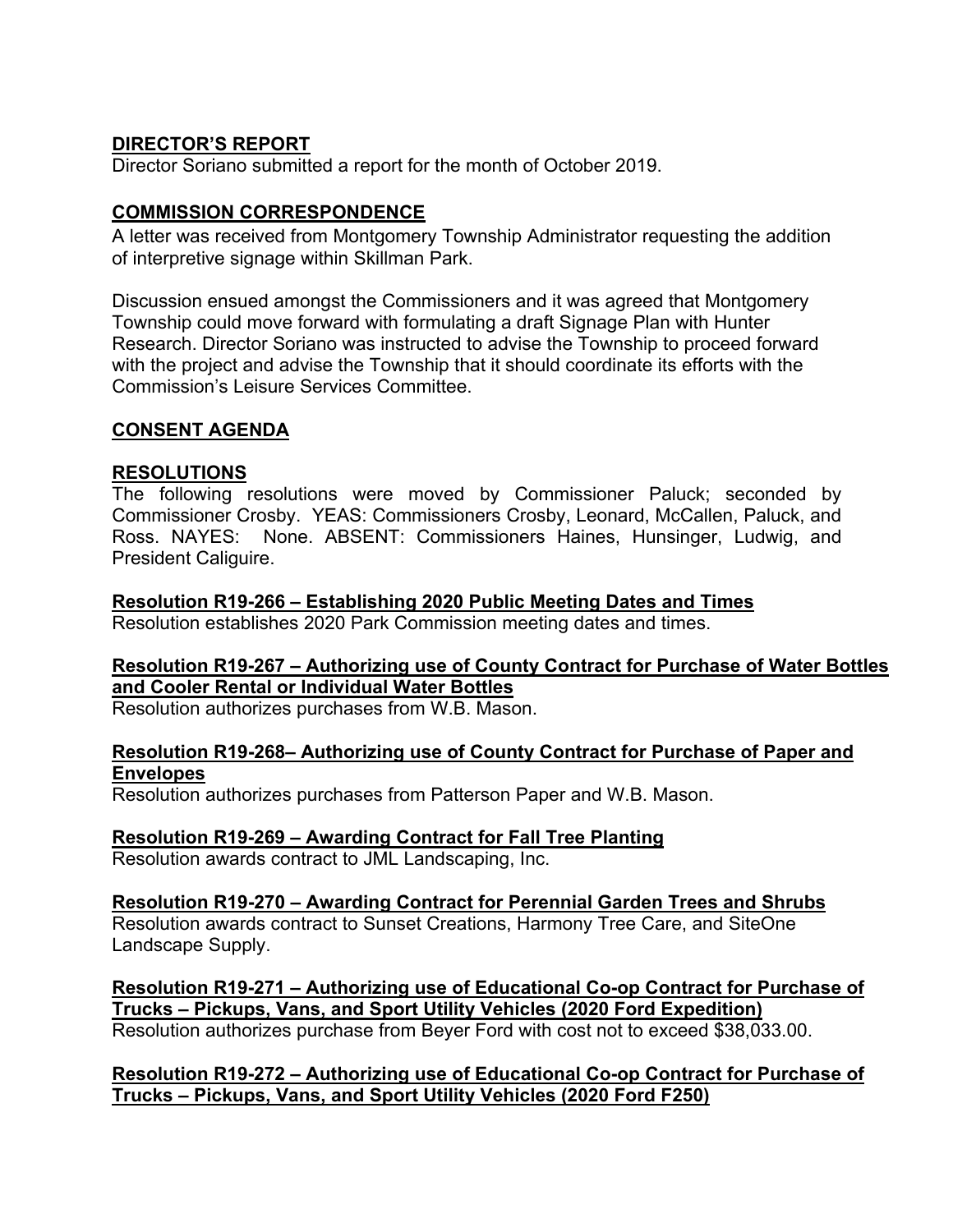# **DIRECTOR'S REPORT**

Director Soriano submitted a report for the month of October 2019.

# **COMMISSION CORRESPONDENCE**

A letter was received from Montgomery Township Administrator requesting the addition of interpretive signage within Skillman Park.

Discussion ensued amongst the Commissioners and it was agreed that Montgomery Township could move forward with formulating a draft Signage Plan with Hunter Research. Director Soriano was instructed to advise the Township to proceed forward with the project and advise the Township that it should coordinate its efforts with the Commission's Leisure Services Committee.

# **CONSENT AGENDA**

## **RESOLUTIONS**

The following resolutions were moved by Commissioner Paluck; seconded by Commissioner Crosby. YEAS: Commissioners Crosby, Leonard, McCallen, Paluck, and Ross. NAYES: None. ABSENT: Commissioners Haines, Hunsinger, Ludwig, and President Caliguire.

## **Resolution R19-266 – Establishing 2020 Public Meeting Dates and Times**

Resolution establishes 2020 Park Commission meeting dates and times.

# **Resolution R19-267 – Authorizing use of County Contract for Purchase of Water Bottles and Cooler Rental or Individual Water Bottles**

Resolution authorizes purchases from W.B. Mason.

# **Resolution R19-268– Authorizing use of County Contract for Purchase of Paper and Envelopes**

Resolution authorizes purchases from Patterson Paper and W.B. Mason.

## **Resolution R19-269 – Awarding Contract for Fall Tree Planting**

Resolution awards contract to JML Landscaping, Inc.

**Resolution R19-270 – Awarding Contract for Perennial Garden Trees and Shrubs**  Resolution awards contract to Sunset Creations, Harmony Tree Care, and SiteOne Landscape Supply.

**Resolution R19-271 – Authorizing use of Educational Co-op Contract for Purchase of Trucks – Pickups, Vans, and Sport Utility Vehicles (2020 Ford Expedition)** 

Resolution authorizes purchase from Beyer Ford with cost not to exceed \$38,033.00.

**Resolution R19-272 – Authorizing use of Educational Co-op Contract for Purchase of Trucks – Pickups, Vans, and Sport Utility Vehicles (2020 Ford F250)**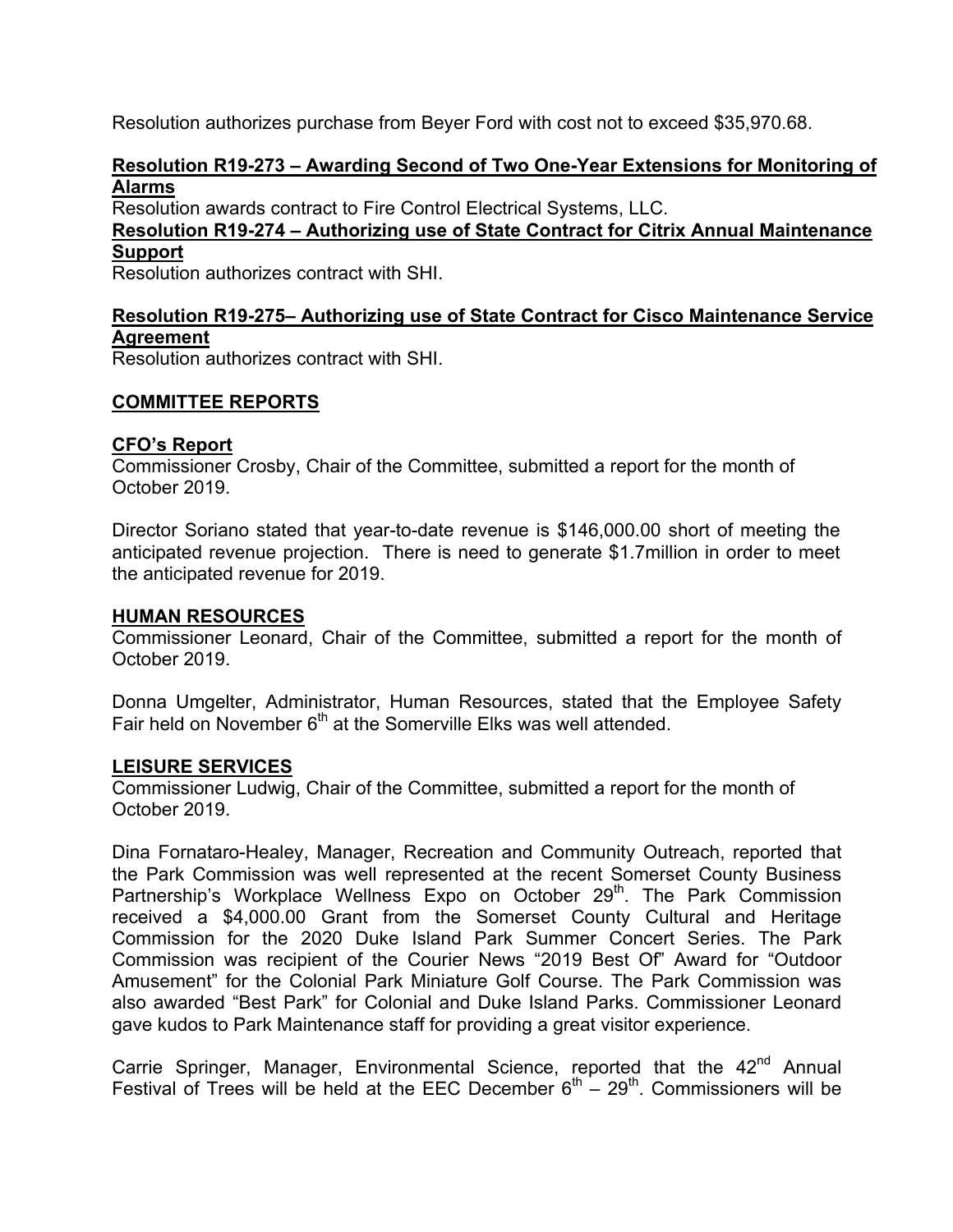Resolution authorizes purchase from Beyer Ford with cost not to exceed \$35,970.68.

## **Resolution R19-273 – Awarding Second of Two One-Year Extensions for Monitoring of Alarms**

Resolution awards contract to Fire Control Electrical Systems, LLC.

**Resolution R19-274 – Authorizing use of State Contract for Citrix Annual Maintenance Support** 

Resolution authorizes contract with SHI.

# **Resolution R19-275– Authorizing use of State Contract for Cisco Maintenance Service Agreement**

Resolution authorizes contract with SHI.

# **COMMITTEE REPORTS**

## **CFO's Report**

Commissioner Crosby, Chair of the Committee, submitted a report for the month of October 2019.

Director Soriano stated that year-to-date revenue is \$146,000.00 short of meeting the anticipated revenue projection. There is need to generate \$1.7million in order to meet the anticipated revenue for 2019.

#### **HUMAN RESOURCES**

Commissioner Leonard, Chair of the Committee, submitted a report for the month of October 2019.

Donna Umgelter, Administrator, Human Resources, stated that the Employee Safety Fair held on November  $6<sup>th</sup>$  at the Somerville Elks was well attended.

#### **LEISURE SERVICES**

Commissioner Ludwig, Chair of the Committee, submitted a report for the month of October 2019.

Dina Fornataro-Healey, Manager, Recreation and Community Outreach, reported that the Park Commission was well represented at the recent Somerset County Business Partnership's Workplace Wellness Expo on October 29<sup>th</sup>. The Park Commission received a \$4,000.00 Grant from the Somerset County Cultural and Heritage Commission for the 2020 Duke Island Park Summer Concert Series. The Park Commission was recipient of the Courier News "2019 Best Of" Award for "Outdoor Amusement" for the Colonial Park Miniature Golf Course. The Park Commission was also awarded "Best Park" for Colonial and Duke Island Parks. Commissioner Leonard gave kudos to Park Maintenance staff for providing a great visitor experience.

Carrie Springer, Manager, Environmental Science, reported that the 42<sup>nd</sup> Annual Festival of Trees will be held at the EEC December  $6<sup>th</sup> - 29<sup>th</sup>$ . Commissioners will be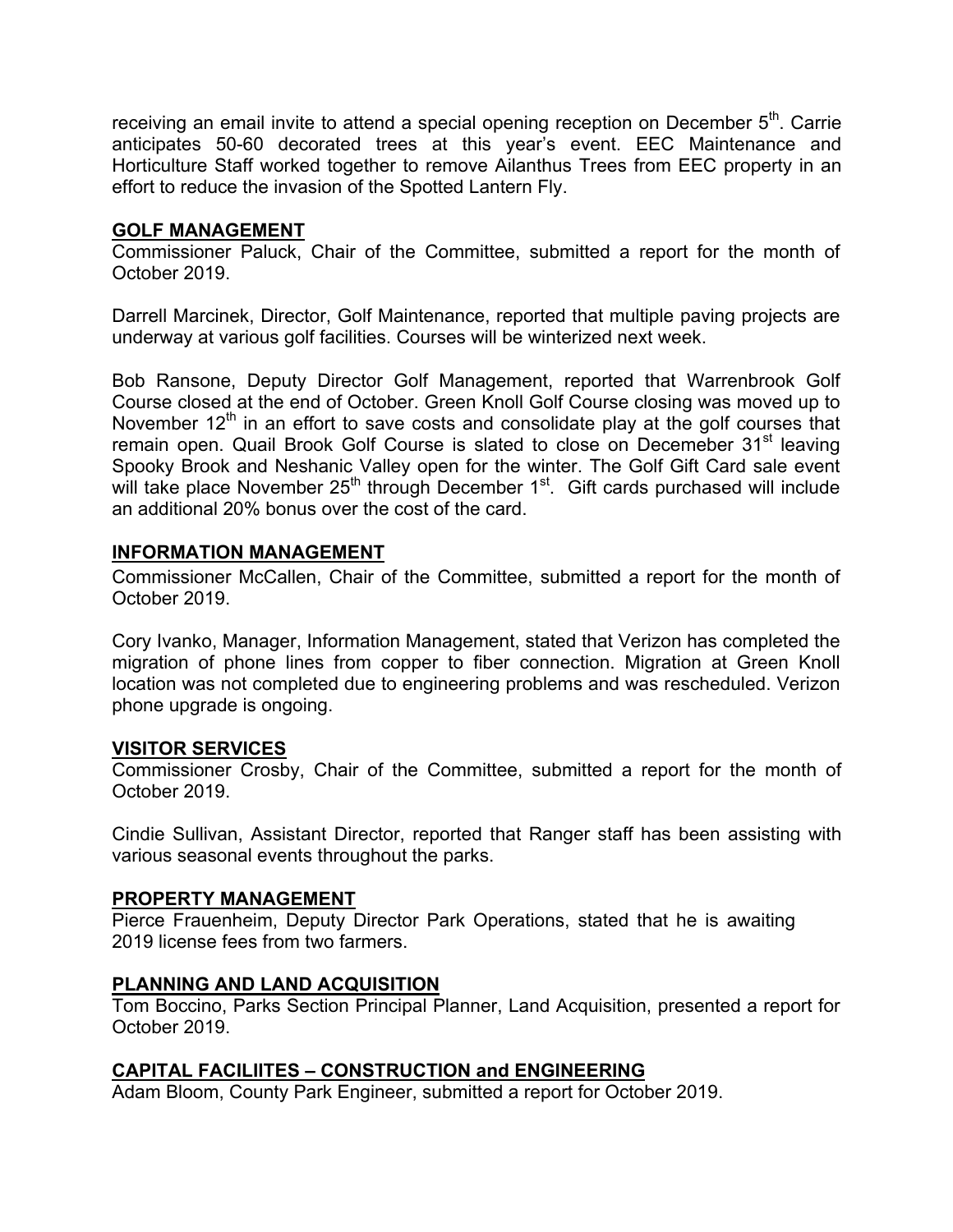receiving an email invite to attend a special opening reception on December  $5<sup>th</sup>$ . Carrie anticipates 50-60 decorated trees at this year's event. EEC Maintenance and Horticulture Staff worked together to remove Ailanthus Trees from EEC property in an effort to reduce the invasion of the Spotted Lantern Fly.

## **GOLF MANAGEMENT**

Commissioner Paluck, Chair of the Committee, submitted a report for the month of October 2019.

Darrell Marcinek, Director, Golf Maintenance, reported that multiple paving projects are underway at various golf facilities. Courses will be winterized next week.

Bob Ransone, Deputy Director Golf Management, reported that Warrenbrook Golf Course closed at the end of October. Green Knoll Golf Course closing was moved up to November  $12<sup>th</sup>$  in an effort to save costs and consolidate play at the golf courses that remain open. Quail Brook Golf Course is slated to close on Decemeber 31<sup>st</sup> leaving Spooky Brook and Neshanic Valley open for the winter. The Golf Gift Card sale event will take place November 25<sup>th</sup> through December 1<sup>st</sup>. Gift cards purchased will include an additional 20% bonus over the cost of the card.

## **INFORMATION MANAGEMENT**

Commissioner McCallen, Chair of the Committee, submitted a report for the month of October 2019.

Cory Ivanko, Manager, Information Management, stated that Verizon has completed the migration of phone lines from copper to fiber connection. Migration at Green Knoll location was not completed due to engineering problems and was rescheduled. Verizon phone upgrade is ongoing.

# **VISITOR SERVICES**

Commissioner Crosby, Chair of the Committee, submitted a report for the month of October 2019.

Cindie Sullivan, Assistant Director, reported that Ranger staff has been assisting with various seasonal events throughout the parks.

## **PROPERTY MANAGEMENT**

Pierce Frauenheim, Deputy Director Park Operations, stated that he is awaiting 2019 license fees from two farmers.

# **PLANNING AND LAND ACQUISITION**

Tom Boccino, Parks Section Principal Planner, Land Acquisition, presented a report for October 2019.

# **CAPITAL FACILIITES – CONSTRUCTION and ENGINEERING**

Adam Bloom, County Park Engineer, submitted a report for October 2019.